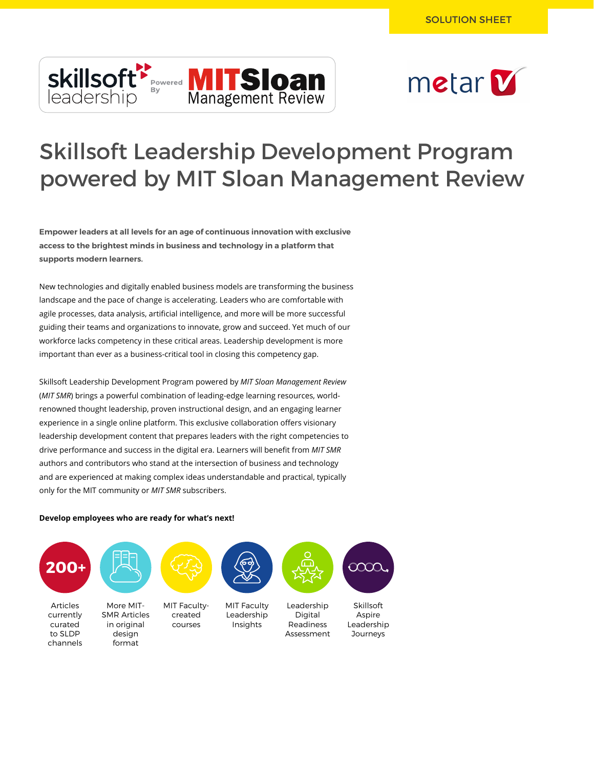



# Skillsoft Leadership Development Program powered by MIT Sloan Management Review

**Empower leaders at all levels for an age of continuous innovation with exclusive access to the brightest minds in business and technology in a platform that supports modern learners.**

New technologies and digitally enabled business models are transforming the business landscape and the pace of change is accelerating. Leaders who are comfortable with agile processes, data analysis, artificial intelligence, and more will be more successful guiding their teams and organizations to innovate, grow and succeed. Yet much of our workforce lacks competency in these critical areas. Leadership development is more important than ever as a business-critical tool in closing this competency gap.

Skillsoft Leadership Development Program powered by *MIT Sloan Management Review* (*MIT SMR*) brings a powerful combination of leading-edge learning resources, worldrenowned thought leadership, proven instructional design, and an engaging learner experience in a single online platform. This exclusive collaboration offers visionary leadership development content that prepares leaders with the right competencies to drive performance and success in the digital era. Learners will benefit from *MIT SMR* authors and contributors who stand at the intersection of business and technology and are experienced at making complex ideas understandable and practical, typically only for the MIT community or *MIT SMR* subscribers.

#### **Develop employees who are ready for what's next!**

format

channels